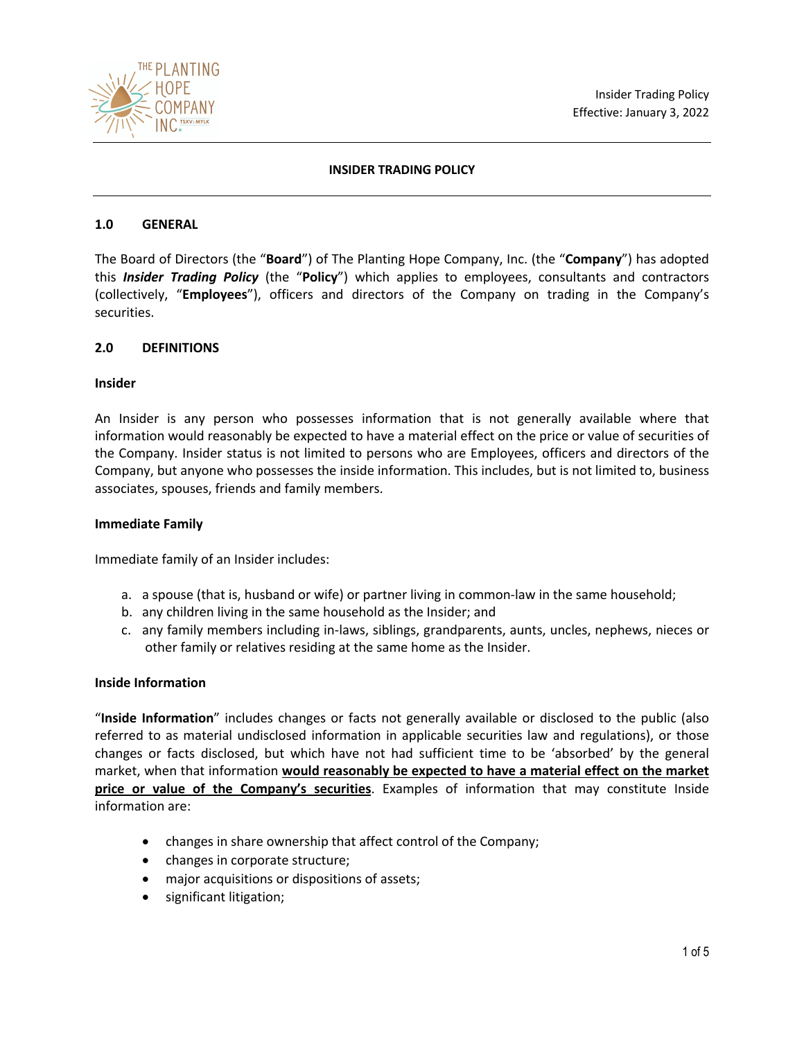



## **INSIDER TRADING POLICY**

#### **1.0 GENERAL**

The Board of Directors (the "**Board**") of The Planting Hope Company, Inc. (the "**Company**") has adopted this *Insider Trading Policy* (the "**Policy**") which applies to employees, consultants and contractors (collectively, "**Employees**"), officers and directors of the Company on trading in the Company's securities.

#### **2.0 DEFINITIONS**

#### **Insider**

An Insider is any person who possesses information that is not generally available where that information would reasonably be expected to have a material effect on the price or value of securities of the Company. Insider status is not limited to persons who are Employees, officers and directors of the Company, but anyone who possesses the inside information. This includes, but is not limited to, business associates, spouses, friends and family members.

#### **Immediate Family**

Immediate family of an Insider includes:

- a. a spouse (that is, husband or wife) or partner living in common-law in the same household;
- b. any children living in the same household as the Insider; and
- c. any family members including in-laws, siblings, grandparents, aunts, uncles, nephews, nieces or other family or relatives residing at the same home as the Insider.

#### **Inside Information**

"**Inside Information**" includes changes or facts not generally available or disclosed to the public (also referred to as material undisclosed information in applicable securities law and regulations), or those changes or facts disclosed, but which have not had sufficient time to be 'absorbed' by the general market, when that information **would reasonably be expected to have a material effect on the market price or value of the Company's securities**. Examples of information that may constitute Inside information are:

- changes in share ownership that affect control of the Company;
- changes in corporate structure;
- major acquisitions or dispositions of assets;
- significant litigation;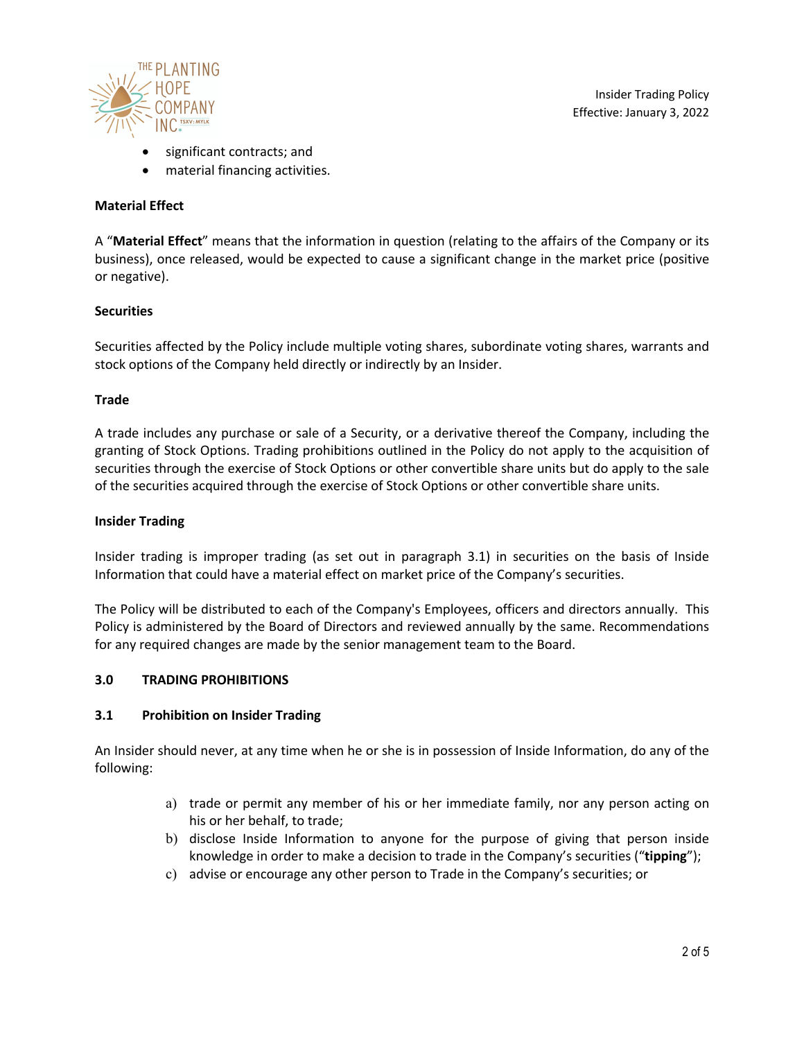

Insider Trading Policy Effective: January 3, 2022

- significant contracts; and
- material financing activities.

# **Material Effect**

A "**Material Effect**" means that the information in question (relating to the affairs of the Company or its business), once released, would be expected to cause a significant change in the market price (positive or negative).

## **Securities**

Securities affected by the Policy include multiple voting shares, subordinate voting shares, warrants and stock options of the Company held directly or indirectly by an Insider.

## **Trade**

A trade includes any purchase or sale of a Security, or a derivative thereof the Company, including the granting of Stock Options. Trading prohibitions outlined in the Policy do not apply to the acquisition of securities through the exercise of Stock Options or other convertible share units but do apply to the sale of the securities acquired through the exercise of Stock Options or other convertible share units.

#### **Insider Trading**

Insider trading is improper trading (as set out in paragraph 3.1) in securities on the basis of Inside Information that could have a material effect on market price of the Company's securities.

The Policy will be distributed to each of the Company's Employees, officers and directors annually. This Policy is administered by the Board of Directors and reviewed annually by the same. Recommendations for any required changes are made by the senior management team to the Board.

## **3.0 TRADING PROHIBITIONS**

## **3.1 Prohibition on Insider Trading**

An Insider should never, at any time when he or she is in possession of Inside Information, do any of the following:

- a) trade or permit any member of his or her immediate family, nor any person acting on his or her behalf, to trade;
- b) disclose Inside Information to anyone for the purpose of giving that person inside knowledge in order to make a decision to trade in the Company's securities ("**tipping**");
- c) advise or encourage any other person to Trade in the Company's securities; or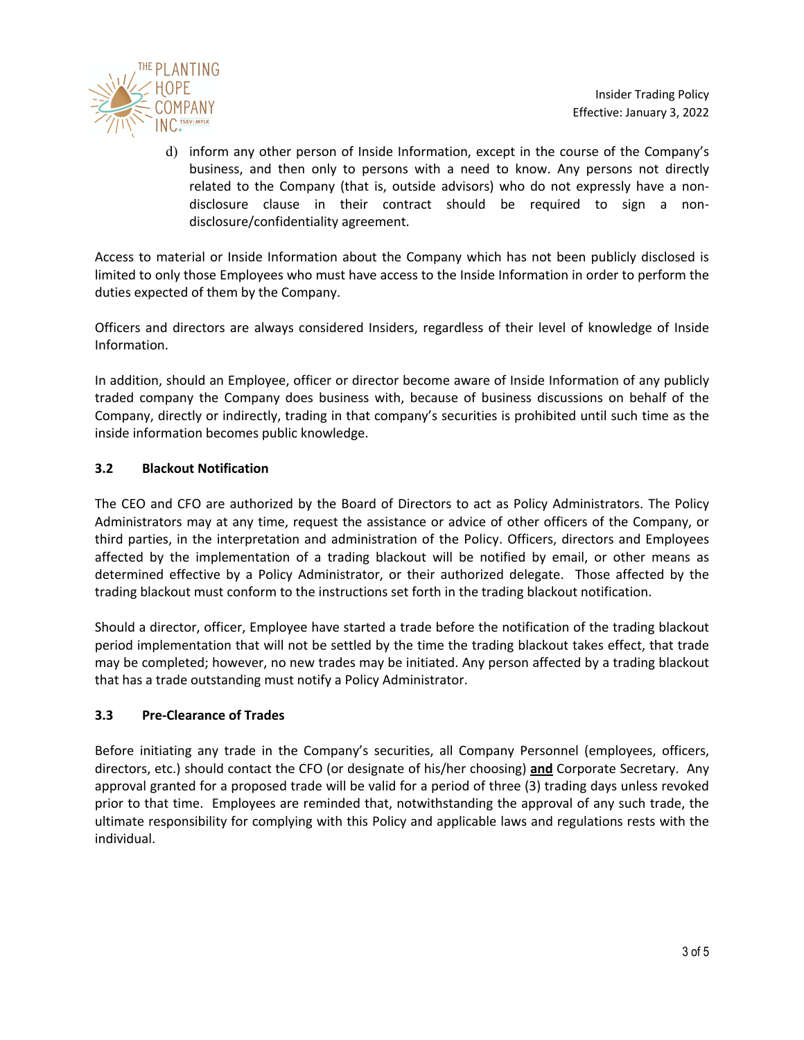

d) inform any other person of Inside Information, except in the course of the Company's business, and then only to persons with a need to know. Any persons not directly related to the Company (that is, outside advisors) who do not expressly have a nondisclosure clause in their contract should be required to sign a nondisclosure/confidentiality agreement.

Access to material or Inside Information about the Company which has not been publicly disclosed is limited to only those Employees who must have access to the Inside Information in order to perform the duties expected of them by the Company.

Officers and directors are always considered Insiders, regardless of their level of knowledge of Inside Information.

In addition, should an Employee, officer or director become aware of Inside Information of any publicly traded company the Company does business with, because of business discussions on behalf of the Company, directly or indirectly, trading in that company's securities is prohibited until such time as the inside information becomes public knowledge.

# **3.2 Blackout Notification**

The CEO and CFO are authorized by the Board of Directors to act as Policy Administrators. The Policy Administrators may at any time, request the assistance or advice of other officers of the Company, or third parties, in the interpretation and administration of the Policy. Officers, directors and Employees affected by the implementation of a trading blackout will be notified by email, or other means as determined effective by a Policy Administrator, or their authorized delegate. Those affected by the trading blackout must conform to the instructions set forth in the trading blackout notification.

Should a director, officer, Employee have started a trade before the notification of the trading blackout period implementation that will not be settled by the time the trading blackout takes effect, that trade may be completed; however, no new trades may be initiated. Any person affected by a trading blackout that has a trade outstanding must notify a Policy Administrator.

## **3.3 Pre-Clearance of Trades**

Before initiating any trade in the Company's securities, all Company Personnel (employees, officers, directors, etc.) should contact the CFO (or designate of his/her choosing) **and** Corporate Secretary. Any approval granted for a proposed trade will be valid for a period of three (3) trading days unless revoked prior to that time. Employees are reminded that, notwithstanding the approval of any such trade, the ultimate responsibility for complying with this Policy and applicable laws and regulations rests with the individual.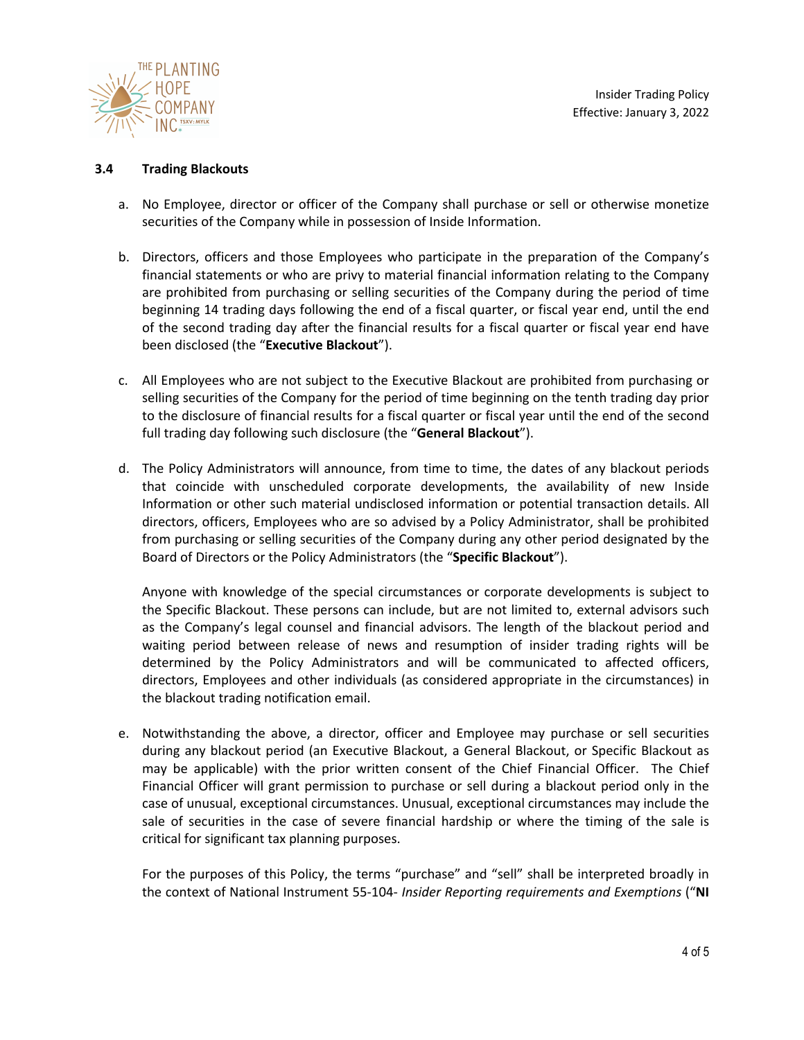

Insider Trading Policy Effective: January 3, 2022

## **3.4 Trading Blackouts**

- a. No Employee, director or officer of the Company shall purchase or sell or otherwise monetize securities of the Company while in possession of Inside Information.
- b. Directors, officers and those Employees who participate in the preparation of the Company's financial statements or who are privy to material financial information relating to the Company are prohibited from purchasing or selling securities of the Company during the period of time beginning 14 trading days following the end of a fiscal quarter, or fiscal year end, until the end of the second trading day after the financial results for a fiscal quarter or fiscal year end have been disclosed (the "**Executive Blackout**").
- c. All Employees who are not subject to the Executive Blackout are prohibited from purchasing or selling securities of the Company for the period of time beginning on the tenth trading day prior to the disclosure of financial results for a fiscal quarter or fiscal year until the end of the second full trading day following such disclosure (the "**General Blackout**").
- d. The Policy Administrators will announce, from time to time, the dates of any blackout periods that coincide with unscheduled corporate developments, the availability of new Inside Information or other such material undisclosed information or potential transaction details. All directors, officers, Employees who are so advised by a Policy Administrator, shall be prohibited from purchasing or selling securities of the Company during any other period designated by the Board of Directors or the Policy Administrators (the "**Specific Blackout**").

Anyone with knowledge of the special circumstances or corporate developments is subject to the Specific Blackout. These persons can include, but are not limited to, external advisors such as the Company's legal counsel and financial advisors. The length of the blackout period and waiting period between release of news and resumption of insider trading rights will be determined by the Policy Administrators and will be communicated to affected officers, directors, Employees and other individuals (as considered appropriate in the circumstances) in the blackout trading notification email.

e. Notwithstanding the above, a director, officer and Employee may purchase or sell securities during any blackout period (an Executive Blackout, a General Blackout, or Specific Blackout as may be applicable) with the prior written consent of the Chief Financial Officer. The Chief Financial Officer will grant permission to purchase or sell during a blackout period only in the case of unusual, exceptional circumstances. Unusual, exceptional circumstances may include the sale of securities in the case of severe financial hardship or where the timing of the sale is critical for significant tax planning purposes.

For the purposes of this Policy, the terms "purchase" and "sell" shall be interpreted broadly in the context of National Instrument 55-104- *Insider Reporting requirements and Exemptions* ("**NI**